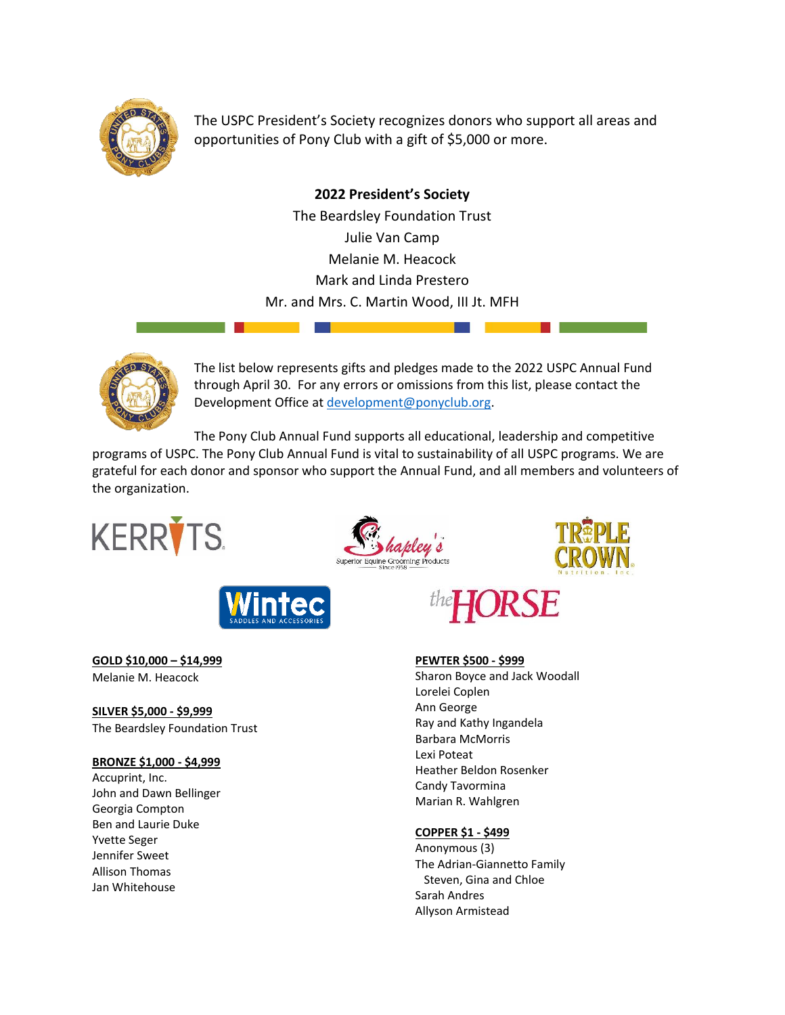

The USPC President's Society recognizes donors who support all areas and opportunities of Pony Club with a gift of \$5,000 or more.

> **2022 President's Society** The Beardsley Foundation Trust Julie Van Camp Melanie M. Heacock Mark and Linda Prestero Mr. and Mrs. C. Martin Wood, III Jt. MFH



The list below represents gifts and pledges made to the 2022 USPC Annual Fund through April 30. For any errors or omissions from this list, please contact the Development Office at [development@ponyclub.org.](mailto:development@ponyclub.org)

The Pony Club Annual Fund supports all educational, leadership and competitive

programs of USPC. The Pony Club Annual Fund is vital to sustainability of all USPC programs. We are grateful for each donor and sponsor who support the Annual Fund, and all members and volunteers of the organization.









**GOLD \$10,000 – \$14,999** Melanie M. Heacock

**SILVER \$5,000 - \$9,999** The Beardsley Foundation Trust

# **BRONZE \$1,000 - \$4,999**

Accuprint, Inc. John and Dawn Bellinger Georgia Compton Ben and Laurie Duke Yvette Seger Jennifer Sweet Allison Thomas Jan Whitehouse



**PEWTER \$500 - \$999** Sharon Boyce and Jack Woodall Lorelei Coplen Ann George Ray and Kathy Ingandela Barbara McMorris Lexi Poteat Heather Beldon Rosenker Candy Tavormina Marian R. Wahlgren

## **COPPER \$1 - \$499**

Anonymous (3) The Adrian-Giannetto Family Steven, Gina and Chloe Sarah Andres Allyson Armistead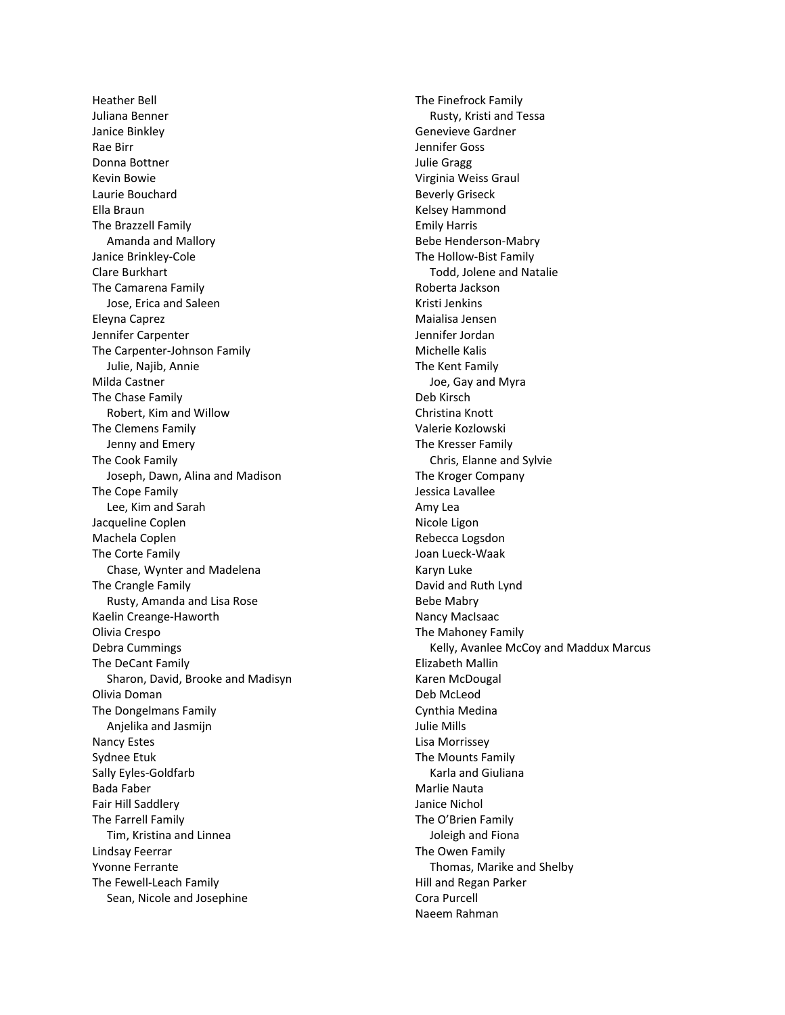Heather Bell Juliana Benner Janice Binkley Rae Birr Donna Bottner Kevin Bowie Laurie Bouchard Ella Braun The Brazzell Family Amanda and Mallory Janice Brinkley-Cole Clare Burkhart The Camarena Family Jose, Erica and Saleen Eleyna Caprez Jennifer Carpenter The Carpenter-Johnson Family Julie, Najib, Annie Milda Castner The Chase Family Robert, Kim and Willow The Clemens Family Jenny and Emery The Cook Family Joseph, Dawn, Alina and Madison The Cope Family Lee, Kim and Sarah Jacqueline Coplen Machela Coplen The Corte Family Chase, Wynter and Madelena The Crangle Family Rusty, Amanda and Lisa Rose Kaelin Creange-Haworth Olivia Crespo Debra Cummings The DeCant Family Sharon, David, Brooke and Madisyn Olivia Doman The Dongelmans Family Anjelika and Jasmijn Nancy Estes Sydnee Etuk Sally Eyles-Goldfarb Bada Faber Fair Hill Saddlery The Farrell Family Tim, Kristina and Linnea Lindsay Feerrar Yvonne Ferrante The Fewell-Leach Family Sean, Nicole and Josephine

The Finefrock Family Rusty, Kristi and Tessa Genevieve Gardner Jennifer Goss Julie Gragg Virginia Weiss Graul Beverly Griseck Kelsey Hammond Emily Harris Bebe Henderson-Mabry The Hollow-Bist Family Todd, Jolene and Natalie Roberta Jackson Kristi Jenkins Maialisa Jensen Jennifer Jordan Michelle Kalis The Kent Family Joe, Gay and Myra Deb Kirsch Christina Knott Valerie Kozlowski The Kresser Family Chris, Elanne and Sylvie The Kroger Company Jessica Lavallee Amy Lea Nicole Ligon Rebecca Logsdon Joan Lueck-Waak Karyn Luke David and Ruth Lynd Bebe Mabry Nancy MacIsaac The Mahoney Family Kelly, Avanlee McCoy and Maddux Marcus Elizabeth Mallin Karen McDougal Deb McLeod Cynthia Medina Julie Mills Lisa Morrissey The Mounts Family Karla and Giuliana Marlie Nauta Janice Nichol The O'Brien Family Joleigh and Fiona The Owen Family Thomas, Marike and Shelby Hill and Regan Parker Cora Purcell Naeem Rahman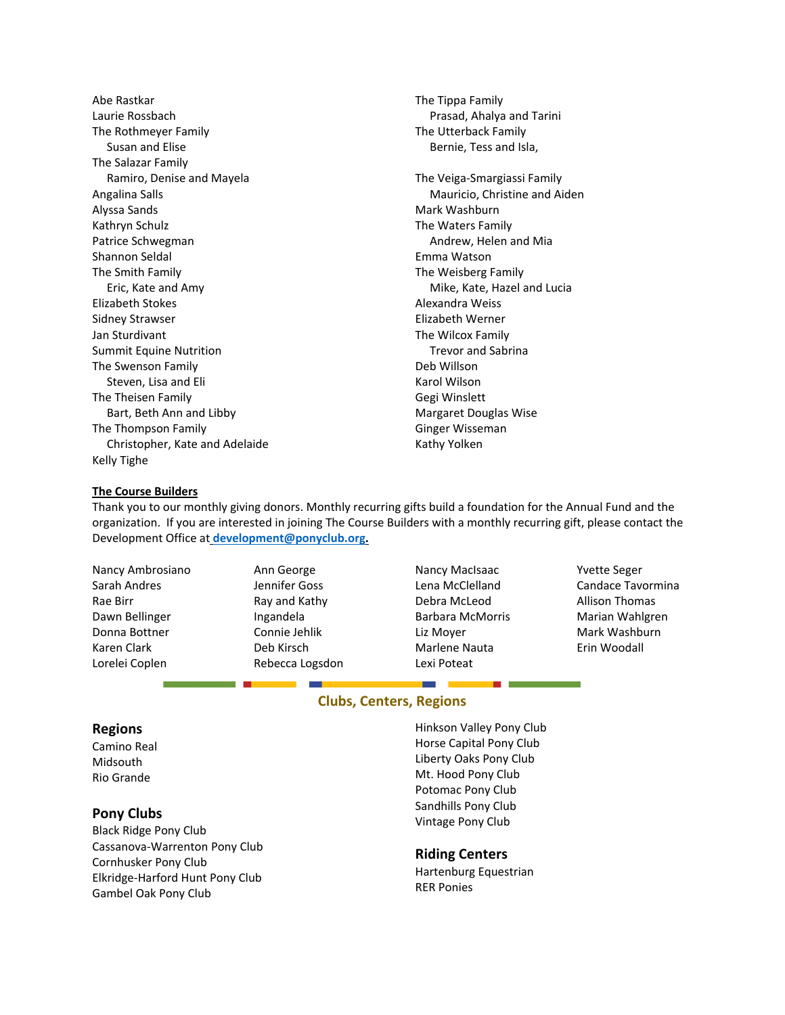Abe Rastkar Laurie Rossbach The Rothmeyer Family Susan and Elise The Salazar Family Ramiro, Denise and Mayela Angalina Salls Alyssa Sands Kathryn Schulz Patrice Schwegman Shannon Seldal The Smith Family Eric, Kate and Amy Elizabeth Stokes Sidney Strawser Jan Sturdivant Summit Equine Nutrition The Swenson Family Steven, Lisa and Eli The Theisen Family Bart, Beth Ann and Libby The Thompson Family Christopher, Kate and Adelaide Kelly Tighe

The Tippa Family Prasad, Ahalya and Tarini The Utterback Family Bernie, Tess and Isla,

The Veiga-Smargiassi Family Mauricio, Christine and Aiden Mark Washburn The Waters Family Andrew, Helen and Mia Emma Watson The Weisberg Family Mike, Kate, Hazel and Lucia Alexandra Weiss Elizabeth Werner The Wilcox Family Trevor and Sabrina Deb Willson Karol Wilson Gegi Winslett Margaret Douglas Wise Ginger Wisseman Kathy Yolken

### **The Course Builders**

Thank you to our monthly giving donors. Monthly recurring gifts build a foundation for the Annual Fund and the organization. If you are interested in joining The Course Builders with a monthly recurring gift, please contact the Development Office at **[development@ponyclub.org.](mailto:development@ponyclub.org)** 

Nancy Ambrosiano Sarah Andres Rae Birr Dawn Bellinger Donna Bottner Karen Clark Lorelei Coplen

Ann George Jennifer Goss Ray and Kathy Ingandela Connie Jehlik Deb Kirsch Rebecca Logsdon

- Nancy MacIsaac Lena McClelland Debra McLeod Barbara McMorris Liz Moyer Marlene Nauta Lexi Poteat
- Yvette Seger Candace Tavormina Allison Thomas Marian Wahlgren Mark Washburn Erin Woodall

## **Clubs, Centers, Regions**

#### **Regions**

Camino Real Midsouth Rio Grande

### **Pony Clubs**

Black Ridge Pony Club Cassanova-Warrenton Pony Club Cornhusker Pony Club Elkridge-Harford Hunt Pony Club Gambel Oak Pony Club

Hinkson Valley Pony Club Horse Capital Pony Club Liberty Oaks Pony Club Mt. Hood Pony Club Potomac Pony Club Sandhills Pony Club Vintage Pony Club

**Contract Contract Contract Contract** 

### **Riding Centers**

Hartenburg Equestrian RER Ponies